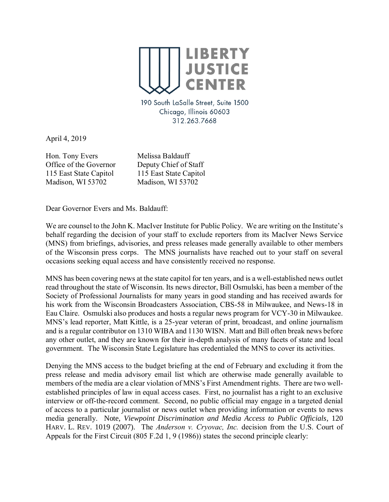

190 South LaSalle Street, Suite 1500 Chicago, Illinois 60603 312.263.7668

April 4, 2019

Hon. Tony Evers Melissa Baldauff Office of the Governor Deputy Chief of Staff 115 East State Capitol 115 East State Capitol Madison, WI 53702 Madison, WI 53702

Dear Governor Evers and Ms. Baldauff:

We are counsel to the John K. MacIver Institute for Public Policy. We are writing on the Institute's behalf regarding the decision of your staff to exclude reporters from its MacIver News Service (MNS) from briefings, advisories, and press releases made generally available to other members of the Wisconsin press corps. The MNS journalists have reached out to your staff on several occasions seeking equal access and have consistently received no response.

MNS has been covering news at the state capitol for ten years, and is a well-established news outlet read throughout the state of Wisconsin. Its news director, Bill Osmulski, has been a member of the Society of Professional Journalists for many years in good standing and has received awards for his work from the Wisconsin Broadcasters Association, CBS-58 in Milwaukee, and News-18 in Eau Claire. Osmulski also produces and hosts a regular news program for VCY-30 in Milwaukee. MNS's lead reporter, Matt Kittle, is a 25-year veteran of print, broadcast, and online journalism and is a regular contributor on 1310 WIBA and 1130 WISN. Matt and Bill often break news before any other outlet, and they are known for their in-depth analysis of many facets of state and local government. The Wisconsin State Legislature has credentialed the MNS to cover its activities.

Denying the MNS access to the budget briefing at the end of February and excluding it from the press release and media advisory email list which are otherwise made generally available to members of the media are a clear violation of MNS's First Amendment rights. There are two wellestablished principles of law in equal access cases. First, no journalist has a right to an exclusive interview or off-the-record comment. Second, no public official may engage in a targeted denial of access to a particular journalist or news outlet when providing information or events to news media generally. Note, *Viewpoint Discrimination and Media Access to Public Officials*, 120 HARV. L. REV. 1019 (2007). The *Anderson v. Cryovac, Inc.* decision from the U.S. Court of Appeals for the First Circuit (805 F.2d 1, 9 (1986)) states the second principle clearly: